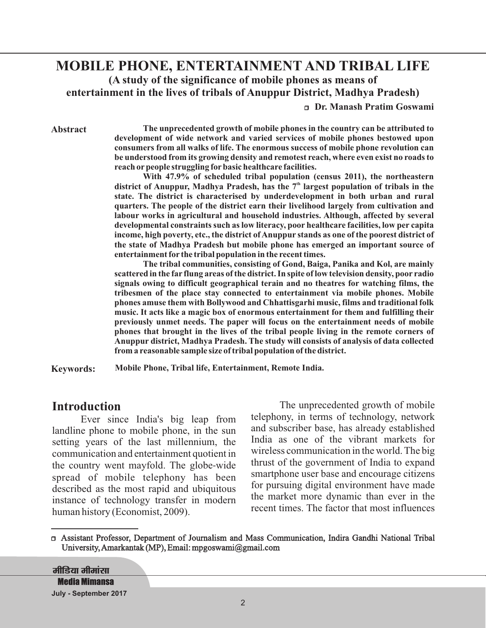# **MOBILE PHONE, ENTERTAINMENT AND TRIBAL LIFE (A study of the significance of mobile phones as means of entertainment in the lives of tribals of Anuppur District, Madhya Pradesh)**

<sup>r</sup> **Dr. Manash Pratim Goswami**

**Abstract**

**The unprecedented growth of mobile phones in the country can be attributed to development of wide network and varied services of mobile phones bestowed upon consumers from all walks of life. The enormous success of mobile phone revolution can be understood from its growing density and remotest reach, where even exist no roads to reach or people struggling for basic healthcare facilities.**

**With 47.9% of scheduled tribal population (census 2011), the northeastern** district of Anuppur, Madhya Pradesh, has the 7<sup>th</sup> largest population of tribals in the **state. The district is characterised by underdevelopment in both urban and rural quarters. The people of the district earn their livelihood largely from cultivation and labour works in agricultural and household industries. Although, affected by several developmental constraints such as low literacy, poor healthcare facilities, low per capita income, high poverty, etc., the district of Anuppur stands as one of the poorest district of the state of Madhya Pradesh but mobile phone has emerged an important source of entertainment for the tribal population in the recent times.**

**The tribal communities, consisting of Gond, Baiga, Panika and Kol, are mainly scattered in the far flung areas of the district. In spite of low television density, poor radio signals owing to difficult geographical terain and no theatres for watching films, the tribesmen of the place stay connected to entertainment via mobile phones. Mobile phones amuse them with Bollywood and Chhattisgarhi music, films and traditional folk music. It acts like a magic box of enormous entertainment for them and fulfilling their previously unmet needs. The paper will focus on the entertainment needs of mobile phones that brought in the lives of the tribal people living in the remote corners of Anuppur district, Madhya Pradesh. The study will consists of analysis of data collected from a reasonable sample size of tribal population of the district.**

**Keywords: Mobile Phone, Tribal life, Entertainment, Remote India.**

### **Introduction**

Ever since India's big leap from landline phone to mobile phone, in the sun setting years of the last millennium, the communication and entertainment quotient in the country went mayfold. The globe-wide spread of mobile telephony has been described as the most rapid and ubiquitous instance of technology transfer in modern human history (Economist, 2009).

The unprecedented growth of mobile telephony, in terms of technology, network and subscriber base, has already established India as one of the vibrant markets for wireless communication in the world. The big thrust of the government of India to expand smartphone user base and encourage citizens for pursuing digital environment have made the market more dynamic than ever in the recent times. The factor that most influences

<sup>r</sup> Assistant Professor, Department of Journalism and Mass Communication, Indira Gandhi National Tribal University,Amarkantak (MP), Email: mpgoswami@gmail.com

<u>मीडिया मीमांसा</u> **Media Mimansa July - September 2017**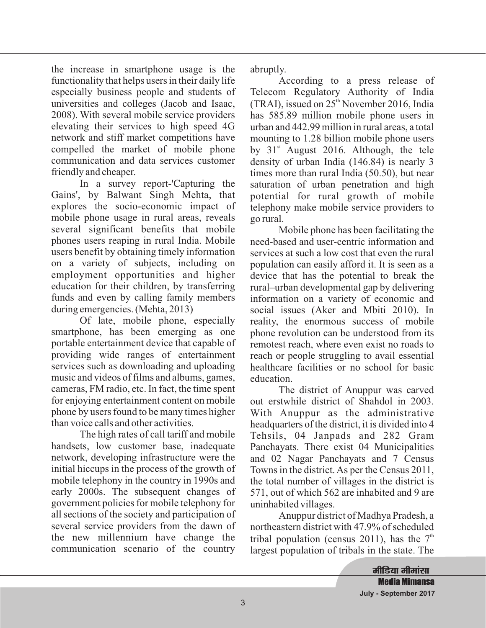the increase in smartphone usage is the functionality that helps users in their daily life especially business people and students of universities and colleges (Jacob and Isaac, 2008). With several mobile service providers elevating their services to high speed 4G network and stiff market competitions have compelled the market of mobile phone communication and data services customer friendly and cheaper.

In a survey report-'Capturing the Gains', by Balwant Singh Mehta, that explores the socio-economic impact of mobile phone usage in rural areas, reveals several significant benefits that mobile phones users reaping in rural India. Mobile users benefit by obtaining timely information on a variety of subjects, including on employment opportunities and higher education for their children, by transferring funds and even by calling family members during emergencies. (Mehta, 2013)

Of late, mobile phone, especially smartphone, has been emerging as one portable entertainment device that capable of providing wide ranges of entertainment services such as downloading and uploading music and videos of films and albums, games, cameras, FM radio, etc. In fact, the time spent for enjoying entertainment content on mobile phone by users found to be many times higher than voice calls and other activities.

The high rates of call tariff and mobile handsets, low customer base, inadequate network, developing infrastructure were the initial hiccups in the process of the growth of mobile telephony in the country in 1990s and early 2000s. The subsequent changes of government policies for mobile telephony for all sections of the society and participation of several service providers from the dawn of the new millennium have change the communication scenario of the country

abruptly.

According to a press release of Telecom Regulatory Authority of India (TRAI), issued on  $25<sup>th</sup>$  November 2016, India has 585.89 million mobile phone users in urban and 442.99 million in rural areas, a total mounting to 1.28 billion mobile phone users by  $31<sup>st</sup>$  August 2016. Although, the tele density of urban India (146.84) is nearly 3 times more than rural India (50.50), but near saturation of urban penetration and high potential for rural growth of mobile telephony make mobile service providers to go rural.

Mobile phone has been facilitating the need-based and user-centric information and services at such a low cost that even the rural population can easily afford it. It is seen as a device that has the potential to break the rural–urban developmental gap by delivering information on a variety of economic and social issues (Aker and Mbiti 2010). In reality, the enormous success of mobile phone revolution can be understood from its remotest reach, where even exist no roads to reach or people struggling to avail essential healthcare facilities or no school for basic education.

The district of Anuppur was carved out erstwhile district of Shahdol in 2003. With Anuppur as the administrative headquarters of the district, it is divided into 4 Tehsils, 04 Janpads and 282 Gram Panchayats. There exist 04 Municipalities and 02 Nagar Panchayats and 7 Census Towns in the district. As per the Census 2011, the total number of villages in the district is 571, out of which 562 are inhabited and 9 are uninhabited villages.

Anuppur district of Madhya Pradesh, a northeastern district with 47.9% of scheduled tribal population (census 2011), has the  $7<sup>th</sup>$ largest population of tribals in the state. The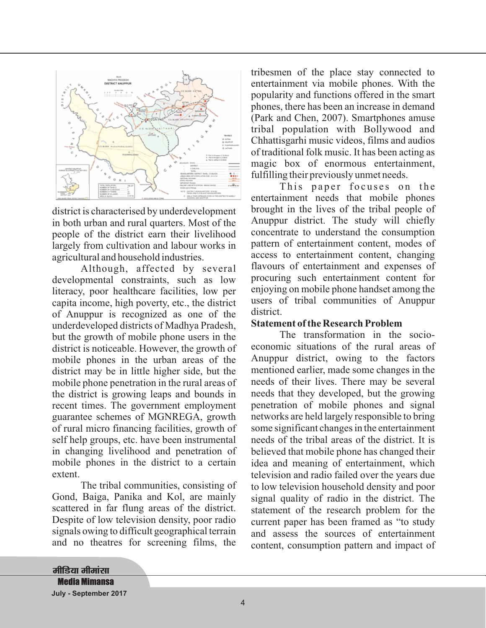

district is characterised by underdevelopment in both urban and rural quarters. Most of the people of the district earn their livelihood largely from cultivation and labour works in agricultural and household industries.

developmental constraints, such as low literacy, poor healthcare facilities, low per capita income, high poverty, etc., the district of Anuppur is recognized as one of the underdeveloped districts of Madhya Pradesh, but the growth of mobile phone users in the district is noticeable. However, the growth of mobile phones in the urban areas of the district may be in little higher side, but the mobile phone penetration in the rural areas of the district is growing leaps and bounds in recent times. The government employment guarantee schemes of MGNREGA, growth of rural micro financing facilities, growth of self help groups, etc. have been instrumental in changing livelihood and penetration of mobile phones in the district to a certain extent. Although, affected by several

The tribal communities, consisting of Gond, Baiga, Panika and Kol, are mainly scattered in far flung areas of the district. Despite of low television density, poor radio signals owing to difficult geographical terrain and no theatres for screening films, the

tribesmen of the place stay connected to entertainment via mobile phones. With the popularity and functions offered in the smart phones, there has been an increase in demand (Park and Chen, 2007). Smartphones amuse tribal population with Bollywood and Chhattisgarhi music videos, films and audios of traditional folk music. It has been acting as magic box of enormous entertainment, fulfilling their previously unmet needs.

This paper focuses on the entertainment needs that mobile phones brought in the lives of the tribal people of Anuppur district. The study will chiefly concentrate to understand the consumption pattern of entertainment content, modes of access to entertainment content, changing flavours of entertainment and expenses of procuring such entertainment content for enjoying on mobile phone handset among the users of tribal communities of Anuppur district.

#### **Statement of the Research Problem**

The transformation in the socioeconomic situations of the rural areas of Anuppur district, owing to the factors mentioned earlier, made some changes in the needs of their lives. There may be several needs that they developed, but the growing penetration of mobile phones and signal networks are held largely responsible to bring some significant changes in the entertainment needs of the tribal areas of the district. It is believed that mobile phone has changed their idea and meaning of entertainment, which television and radio failed over the years due to low television household density and poor signal quality of radio in the district. The statement of the research problem for the current paper has been framed as "to study and assess the sources of entertainment content, consumption pattern and impact of

<u>मीडिया मीमांसा</u> **Media Mimansa July - September 2017**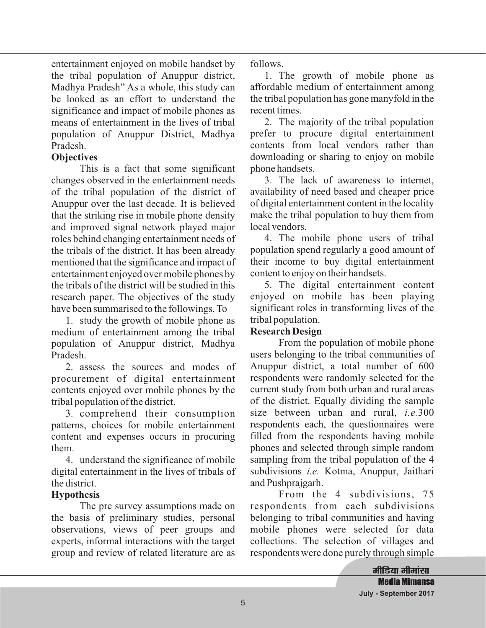entertainment enjoyed on mobile handset by the tribal population of Anuppur district, Madhya Pradesh" As a whole, this study can be looked as an effort to understand the significance and impact of mobile phones as means of entertainment in the lives of tribal population of Anuppur District, Madhya Pradesh.

## **Objectives**

This is a fact that some significant changes observed in the entertainment needs of the tribal population of the district of Anuppur over the last decade. It is believed that the striking rise in mobile phone density and improved signal network played major roles behind changing entertainment needs of the tribals of the district. It has been already mentioned that the significance and impact of entertainment enjoyed over mobile phones by the tribals of the district will be studied in this research paper. The objectives of the study have been summarised to the followings. To

1. study the growth of mobile phone as medium of entertainment among the tribal population of Anuppur district, Madhya Pradesh.

2. assess the sources and modes of procurement of digital entertainment contents enjoyed over mobile phones by the tribal population of the district.

3. comprehend their consumption patterns, choices for mobile entertainment content and expenses occurs in procuring them.

4. understand the significance of mobile digital entertainment in the lives of tribals of the district.

# **Hypothesis**

The pre survey assumptions made on the basis of preliminary studies, personal observations, views of peer groups and experts, informal interactions with the target group and review of related literature are as follows.

1. The growth of mobile phone as affordable medium of entertainment among the tribal population has gone manyfold in the recent times.

2. The majority of the tribal population prefer to procure digital entertainment contents from local vendors rather than downloading or sharing to enjoy on mobile phone handsets.

3. The lack of awareness to internet, availability of need based and cheaper price of digital entertainment content in the locality make the tribal population to buy them from local vendors.

4. The mobile phone users of tribal population spend regularly a good amount of their income to buy digital entertainment content to enjoy on their handsets.

5. The digital entertainment content enjoyed on mobile has been playing significant roles in transforming lives of the tribal population.

# **Research Design**

From the population of mobile phone users belonging to the tribal communities of Anuppur district, a total number of 600 respondents were randomly selected for the current study from both urban and rural areas of the district. Equally dividing the sample size between urban and rural, *i.e.*300 respondents each, the questionnaires were filled from the respondents having mobile phones and selected through simple random sampling from the tribal population of the 4 subdivisions *i.e.* Kotma, Anuppur, Jaithari and Pushprajgarh.

From the 4 subdivisions, 75 respondents from each subdivisions belonging to tribal communities and having mobile phones were selected for data collections. The selection of villages and respondents were done purely through simple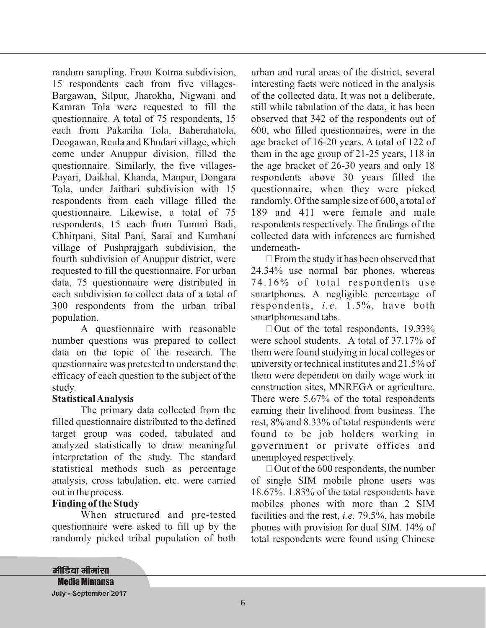random sampling. From Kotma subdivision, 15 respondents each from five villages-Bargawan, Silpur, Jharokha, Nigwani and Kamran Tola were requested to fill the questionnaire. A total of 75 respondents, 15 each from Pakariha Tola, Baherahatola, Deogawan, Reula and Khodari village, which come under Anuppur division, filled the questionnaire. Similarly, the five villages-Payari, Daikhal, Khanda, Manpur, Dongara Tola, under Jaithari subdivision with 15 respondents from each village filled the questionnaire. Likewise, a total of 75 respondents, 15 each from Tummi Badi, Chhirpani, Sital Pani, Sarai and Kumhani village of Pushprajgarh subdivision, the fourth subdivision of Anuppur district, were requested to fill the questionnaire. For urban data, 75 questionnaire were distributed in each subdivision to collect data of a total of 300 respondents from the urban tribal population.

A questionnaire with reasonable number questions was prepared to collect data on the topic of the research. The questionnaire was pretested to understand the efficacy of each question to the subject of the study.

### **StatisticalAnalysis**

The primary data collected from the filled questionnaire distributed to the defined target group was coded, tabulated and analyzed statistically to draw meaningful interpretation of the study. The standard statistical methods such as percentage analysis, cross tabulation, etc. were carried out in the process.

### **Finding of the Study**

When structured and pre-tested questionnaire were asked to fill up by the randomly picked tribal population of both

urban and rural areas of the district, several interesting facts were noticed in the analysis of the collected data. It was not a deliberate, still while tabulation of the data, it has been observed that 342 of the respondents out of 600, who filled questionnaires, were in the age bracket of 16-20 years. A total of 122 of them in the age group of 21-25 years, 118 in the age bracket of 26-30 years and only 18 respondents above 30 years filled the questionnaire, when they were picked randomly. Of the sample size of 600, a total of 189 and 411 were female and male respondents respectively. The findings of the collected data with inferences are furnished underneath-

 $\Box$  From the study it has been observed that 24.34% use normal bar phones, whereas 74.16% of total respondents use smartphones. A negligible percentage of respondents, *i.e.* 1.5%, have both smartphones and tabs.

 $\Box$  Out of the total respondents, 19.33% were school students. A total of 37.17% of them were found studying in local colleges or university or technical institutes and 21.5% of them were dependent on daily wage work in construction sites, MNREGA or agriculture. There were 5.67% of the total respondents earning their livelihood from business. The rest, 8% and 8.33% of total respondents were found to be job holders working in government or private offices and unemployed respectively.

 $\Box$  Out of the 600 respondents, the number of single SIM mobile phone users was 18.67%. 1.83% of the total respondents have mobiles phones with more than 2 SIM facilities and the rest, *i.e.* 79.5%, has mobile phones with provision for dual SIM. 14% of total respondents were found using Chinese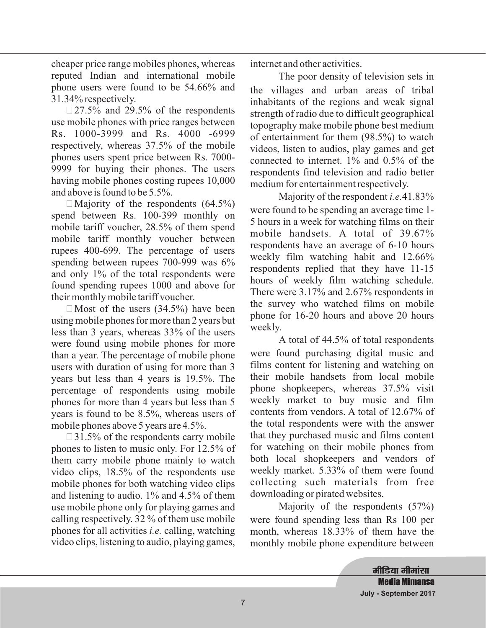cheaper price range mobiles phones, whereas reputed Indian and international mobile phone users were found to be 54.66% and 31.34% respectively.

 $\Box$ 27.5% and 29.5% of the respondents use mobile phones with price ranges between Rs. 1000-3999 and Rs. 4000 -6999 respectively, whereas 37.5% of the mobile phones users spent price between Rs. 7000- 9999 for buying their phones. The users having mobile phones costing rupees 10,000 and above is found to be 5.5%.

Majority of the respondents (64.5%) **!** spend between Rs. 100-399 monthly on mobile tariff voucher, 28.5% of them spend mobile tariff monthly voucher between rupees 400-699. The percentage of users spending between rupees 700-999 was 6% and only 1% of the total respondents were found spending rupees 1000 and above for their monthly mobile tariff voucher.

 $\Box$  Most of the users (34.5%) have been using mobile phones for more than 2 years but less than 3 years, whereas 33% of the users were found using mobile phones for more than a year. The percentage of mobile phone users with duration of using for more than 3 years but less than 4 years is 19.5%. The percentage of respondents using mobile phones for more than 4 years but less than 5 years is found to be 8.5%, whereas users of mobile phones above 5 years are 4.5%.

 $\Box$ 31.5% of the respondents carry mobile phones to listen to music only. For 12.5% of them carry mobile phone mainly to watch video clips, 18.5% of the respondents use mobile phones for both watching video clips and listening to audio. 1% and 4.5% of them use mobile phone only for playing games and calling respectively. 32 % of them use mobile phones for all activities *i.e.* calling, watching video clips, listening to audio, playing games, internet and other activities.

The poor density of television sets in the villages and urban areas of tribal inhabitants of the regions and weak signal strength of radio due to difficult geographical topography make mobile phone best medium of entertainment for them (98.5%) to watch videos, listen to audios, play games and get connected to internet. 1% and 0.5% of the respondents find television and radio better medium for entertainment respectively.

Majority of the respondent *i.e.* 41.83% were found to be spending an average time 1- 5 hours in a week for watching films on their mobile handsets. A total of 39.67% respondents have an average of 6-10 hours weekly film watching habit and 12.66% respondents replied that they have 11-15 hours of weekly film watching schedule. There were 3.17% and 2.67% respondents in the survey who watched films on mobile phone for 16-20 hours and above 20 hours weekly.

A total of 44.5% of total respondents were found purchasing digital music and films content for listening and watching on their mobile handsets from local mobile phone shopkeepers, whereas 37.5% visit weekly market to buy music and film contents from vendors. A total of 12.67% of the total respondents were with the answer that they purchased music and films content for watching on their mobile phones from both local shopkeepers and vendors of weekly market. 5.33% of them were found collecting such materials from free downloading or pirated websites.

Majority of the respondents (57%) were found spending less than Rs 100 per month, whereas 18.33% of them have the monthly mobile phone expenditure between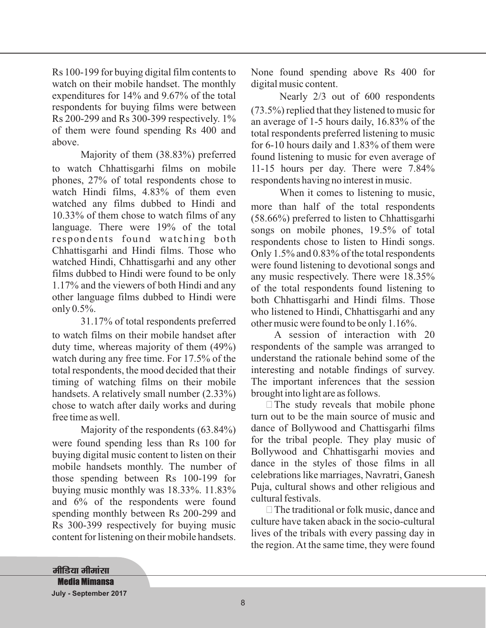Rs 100-199 for buying digital film contents to watch on their mobile handset. The monthly expenditures for 14% and 9.67% of the total respondents for buying films were between Rs 200-299 and Rs 300-399 respectively. 1% of them were found spending Rs 400 and above.

Majority of them (38.83%) preferred to watch Chhattisgarhi films on mobile phones, 27% of total respondents chose to watch Hindi films, 4.83% of them even watched any films dubbed to Hindi and 10.33% of them chose to watch films of any language. There were 19% of the total respondents found watching both Chhattisgarhi and Hindi films. Those who watched Hindi, Chhattisgarhi and any other films dubbed to Hindi were found to be only 1.17% and the viewers of both Hindi and any other language films dubbed to Hindi were only 0.5%.

31.17% of total respondents preferred to watch films on their mobile handset after duty time, whereas majority of them (49%) watch during any free time. For 17.5% of the total respondents, the mood decided that their timing of watching films on their mobile handsets. A relatively small number (2.33%) chose to watch after daily works and during free time as well.

Majority of the respondents (63.84%) were found spending less than Rs 100 for buying digital music content to listen on their mobile handsets monthly. The number of those spending between Rs 100-199 for buying music monthly was 18.33%. 11.83% and 6% of the respondents were found spending monthly between Rs 200-299 and Rs 300-399 respectively for buying music content for listening on their mobile handsets.

None found spending above Rs 400 for digital music content.

Nearly 2/3 out of 600 respondents (73.5%) replied that they listened to music for an average of 1-5 hours daily, 16.83% of the total respondents preferred listening to music for 6-10 hours daily and 1.83% of them were found listening to music for even average of 11-15 hours per day. There were 7.84% respondents having no interest in music.

When it comes to listening to music, more than half of the total respondents (58.66%) preferred to listen to Chhattisgarhi songs on mobile phones, 19.5% of total respondents chose to listen to Hindi songs. Only 1.5% and 0.83% of the total respondents were found listening to devotional songs and any music respectively. There were 18.35% of the total respondents found listening to both Chhattisgarhi and Hindi films. Those who listened to Hindi, Chhattisgarhi and any other music were found to be only 1.16%.

A session of interaction with 20 respondents of the sample was arranged to understand the rationale behind some of the interesting and notable findings of survey. The important inferences that the session brought into light are as follows.

 $\Box$  The study reveals that mobile phone turn out to be the main source of music and dance of Bollywood and Chattisgarhi films for the tribal people. They play music of Bollywood and Chhattisgarhi movies and dance in the styles of those films in all celebrations like marriages, Navratri, Ganesh Puja, cultural shows and other religious and cultural festivals.

 $\Box$  The traditional or folk music, dance and culture have taken aback in the socio-cultural lives of the tribals with every passing day in the region. At the same time, they were found

<u>मीडिया मीमांसा</u> **Media Mimansa July - September 2017**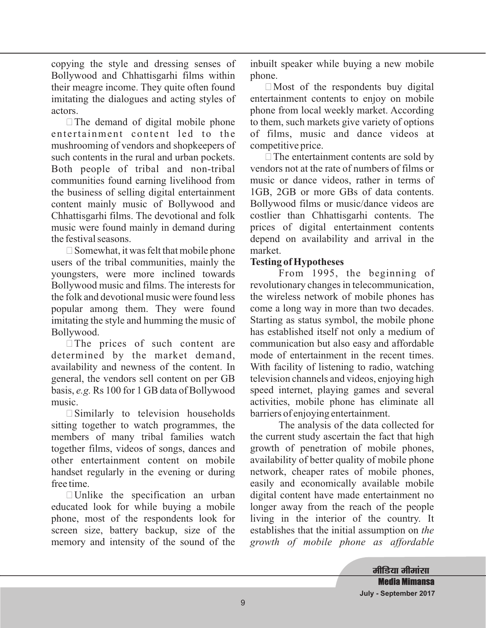copying the style and dressing senses of Bollywood and Chhattisgarhi films within their meagre income. They quite often found imitating the dialogues and acting styles of actors.

 $\Box$  The demand of digital mobile phone entertainment content led to the mushrooming of vendors and shopkeepers of such contents in the rural and urban pockets. Both people of tribal and non-tribal communities found earning livelihood from the business of selling digital entertainment content mainly music of Bollywood and Chhattisgarhi films. The devotional and folk music were found mainly in demand during the festival seasons.

 $\Box$  Somewhat, it was felt that mobile phone users of the tribal communities, mainly the youngsters, were more inclined towards Bollywood music and films. The interests for the folk and devotional music were found less popular among them. They were found imitating the style and humming the music of Bollywood.

 $\Box$  The prices of such content are determined by the market demand, availability and newness of the content. In general, the vendors sell content on per GB basis, e.g. Rs 100 for 1 GB data of Bollywood music.

 $\square$  Similarly to television households sitting together to watch programmes, the members of many tribal families watch together films, videos of songs, dances and other entertainment content on mobile handset regularly in the evening or during free time.

 $\Box$  Unlike the specification an urban educated look for while buying a mobile phone, most of the respondents look for screen size, battery backup, size of the memory and intensity of the sound of the inbuilt speaker while buying a new mobile phone.

 $\Box$  Most of the respondents buy digital entertainment contents to enjoy on mobile phone from local weekly market. According to them, such markets give variety of options of films, music and dance videos at competitive price.

 $\Box$  The entertainment contents are sold by vendors not at the rate of numbers of films or music or dance videos, rather in terms of 1GB, 2GB or more GBs of data contents. Bollywood films or music/dance videos are costlier than Chhattisgarhi contents. The prices of digital entertainment contents depend on availability and arrival in the market.

## **Testing of Hypotheses**

From 1995, the beginning of revolutionary changes in telecommunication, the wireless network of mobile phones has come a long way in more than two decades. Starting as status symbol, the mobile phone has established itself not only a medium of communication but also easy and affordable mode of entertainment in the recent times. With facility of listening to radio, watching television channels and videos, enjoying high speed internet, playing games and several activities, mobile phone has eliminate all barriers of enjoying entertainment.

The analysis of the data collected for the current study ascertain the fact that high growth of penetration of mobile phones, availability of better quality of mobile phone network, cheaper rates of mobile phones, easily and economically available mobile digital content have made entertainment no longer away from the reach of the people living in the interior of the country. It establishes that the initial assumption on *the growth of mobile phone as affordable*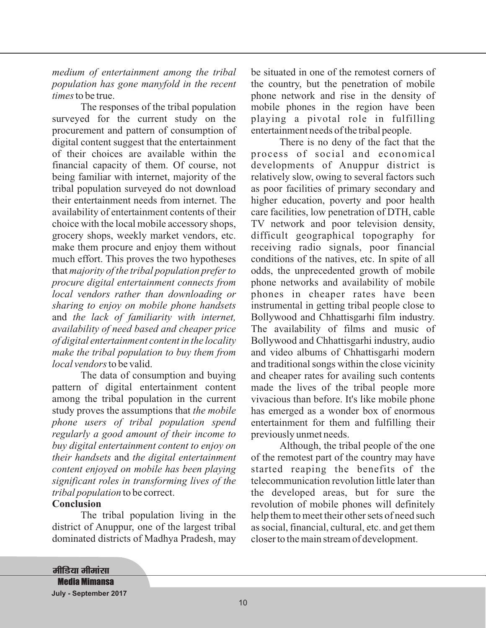*medium of entertainment among the tribal population has gone manyfold in the recent times* to be true.

*majority of the tribal population prefer to* that *procure digital entertainment connects from local vendors rather than downloading or sharing to enjoy on mobile phone handsets the lack of familiarity with internet,* and *availability of need based and cheaper price of digital entertainment content in the locality make the tribal population to buy them from local vendors* to be valid. The responses of the tribal population surveyed for the current study on the procurement and pattern of consumption of digital content suggest that the entertainment of their choices are available within the financial capacity of them. Of course, not being familiar with internet, majority of the tribal population surveyed do not download their entertainment needs from internet. The availability of entertainment contents of their choice with the local mobile accessory shops, grocery shops, weekly market vendors, etc. make them procure and enjoy them without much effort. This proves the two hypotheses

study proves the assumptions that the mobile *phone users of tribal population spend regularly a good amount of their income to buy digital entertainment content to enjoy on* their handsets and the digital entertainment *content enjoyed on mobile has been playing significant roles in transforming lives of the tribal population* to be correct. The data of consumption and buying pattern of digital entertainment content among the tribal population in the current

#### **Conclusion**

The tribal population living in the district of Anuppur, one of the largest tribal dominated districts of Madhya Pradesh, may be situated in one of the remotest corners of the country, but the penetration of mobile phone network and rise in the density of mobile phones in the region have been playing a pivotal role in fulfilling entertainment needs of the tribal people.

There is no deny of the fact that the process of social and economical developments of Anuppur district is relatively slow, owing to several factors such as poor facilities of primary secondary and higher education, poverty and poor health care facilities, low penetration of DTH, cable TV network and poor television density, difficult geographical topography for receiving radio signals, poor financial conditions of the natives, etc. In spite of all odds, the unprecedented growth of mobile phone networks and availability of mobile phones in cheaper rates have been instrumental in getting tribal people close to Bollywood and Chhattisgarhi film industry. The availability of films and music of Bollywood and Chhattisgarhi industry, audio and video albums of Chhattisgarhi modern and traditional songs within the close vicinity and cheaper rates for availing such contents made the lives of the tribal people more vivacious than before. It's like mobile phone has emerged as a wonder box of enormous entertainment for them and fulfilling their previously unmet needs.

Although, the tribal people of the one of the remotest part of the country may have started reaping the benefits of the telecommunication revolution little later than the developed areas, but for sure the revolution of mobile phones will definitely help them to meet their other sets of need such as social, financial, cultural, etc. and get them closer to the main stream of development.